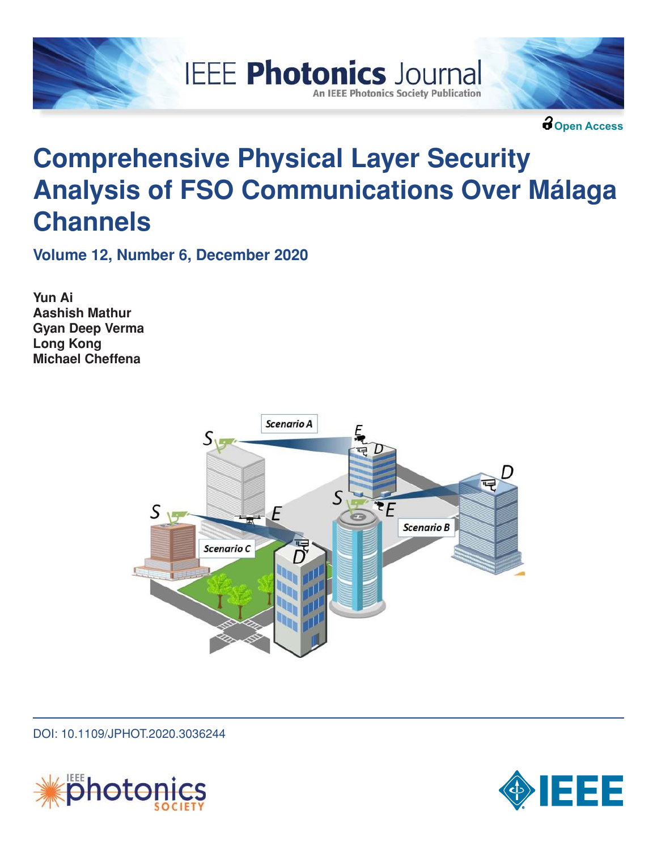



**Open Access**

# **Comprehensive Physical Layer Security Analysis of FSO Communications Over Málaga Channels**

**IEEE Photonics Journal** 

**An IEEE Photonics Society Publication** 

**Volume 12, Number 6, December 2020**

**Yun Ai Aashish Mathur Gyan Deep Verma Long Kong Michael Cheffena**



DOI: 10.1109/JPHOT.2020.3036244



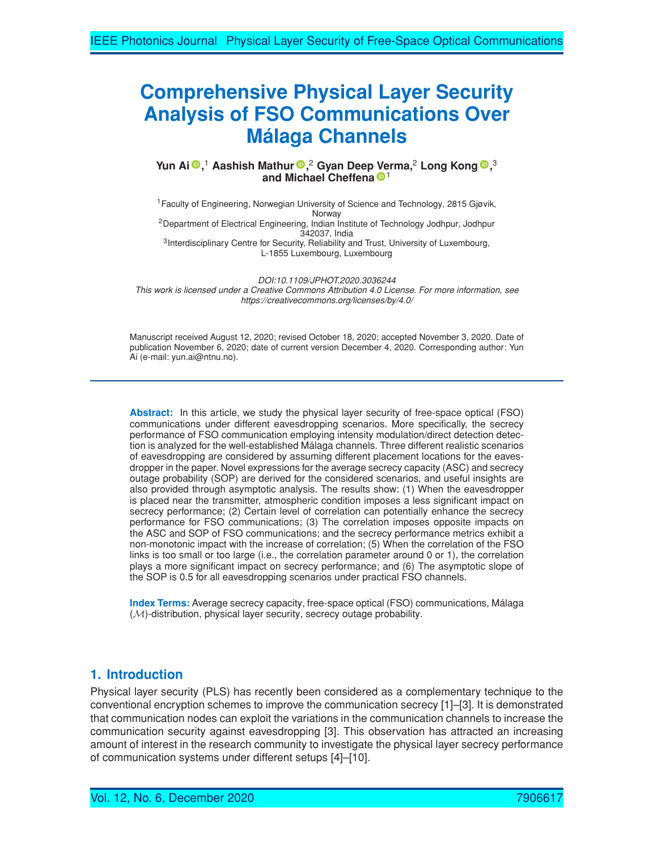# **Comprehensive Physical Layer Security Analysis of FSO Communications Over Málaga Channels**

**Yun Ai ,** <sup>1</sup> **Aashish Mathur ,** <sup>2</sup> **Gyan Deep Verma,**<sup>2</sup> **Long Kong ,** 3 **and Michael Cheffena**<sup>D<sub>1</sub></sup>

<sup>1</sup>Faculty of Engineering, Norwegian University of Science and Technology, 2815 Gjøvik, Norway <sup>2</sup>Department of Electrical Engineering, Indian Institute of Technology Jodhpur, Jodhpur 342037, India <sup>3</sup>Interdisciplinary Centre for Security, Reliability and Trust, University of Luxembourg, L-1855 Luxembourg, Luxembourg

*DOI:10.1109/JPHOT.2020.3036244* This work is licensed under a Creative Commons Attribution 4.0 License. For more information, see *https://creativecommons.org/licenses/by/4.0/*

Manuscript received August 12, 2020; revised October 18, 2020; accepted November 3, 2020. Date of publication November 6, 2020; date of current version December 4, 2020. Corresponding author: Yun Ai (e-mail: yun.ai@ntnu.no).

**Abstract:** In this article, we study the physical layer security of free-space optical (FSO) communications under different eavesdropping scenarios. More specifically, the secrecy performance of FSO communication employing intensity modulation/direct detection detection is analyzed for the well-established Málaga channels. Three different realistic scenarios of eavesdropping are considered by assuming different placement locations for the eavesdropper in the paper. Novel expressions for the average secrecy capacity (ASC) and secrecy outage probability (SOP) are derived for the considered scenarios, and useful insights are also provided through asymptotic analysis. The results show: (1) When the eavesdropper is placed near the transmitter, atmospheric condition imposes a less significant impact on secrecy performance; (2) Certain level of correlation can potentially enhance the secrecy performance for FSO communications; (3) The correlation imposes opposite impacts on the ASC and SOP of FSO communications; and the secrecy performance metrics exhibit a non-monotonic impact with the increase of correlation; (5) When the correlation of the FSO links is too small or too large (i.e., the correlation parameter around 0 or 1), the correlation plays a more significant impact on secrecy performance; and (6) The asymptotic slope of the SOP is 0.5 for all eavesdropping scenarios under practical FSO channels.

**Index Terms:** Average secrecy capacity, free-space optical (FSO) communications, Málaga  $(M)$ -distribution, physical layer security, secrecy outage probability.

# **1. Introduction**

Physical layer security (PLS) has recently been considered as a complementary technique to the conventional encryption schemes to improve the communication secrecy [1]–[3]. It is demonstrated that communication nodes can exploit the variations in the communication channels to increase the communication security against eavesdropping [3]. This observation has attracted an increasing amount of interest in the research community to investigate the physical layer secrecy performance of communication systems under different setups [4]–[10].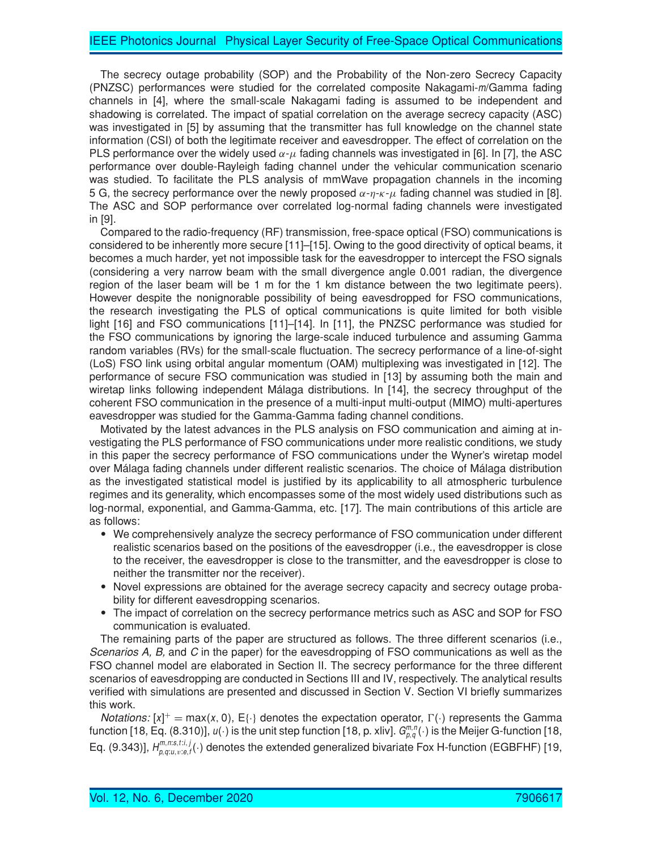The secrecy outage probability (SOP) and the Probability of the Non-zero Secrecy Capacity (PNZSC) performances were studied for the correlated composite Nakagami-m/Gamma fading channels in [4], where the small-scale Nakagami fading is assumed to be independent and shadowing is correlated. The impact of spatial correlation on the average secrecy capacity (ASC) was investigated in [5] by assuming that the transmitter has full knowledge on the channel state information (CSI) of both the legitimate receiver and eavesdropper. The effect of correlation on the PLS performance over the widely used  $\alpha$ - $\mu$  fading channels was investigated in [6]. In [7], the ASC performance over double-Rayleigh fading channel under the vehicular communication scenario was studied. To facilitate the PLS analysis of mmWave propagation channels in the incoming 5 G, the secrecy performance over the newly proposed  $\alpha$ - $\eta$ - $\kappa$ - $\mu$  fading channel was studied in [8]. The ASC and SOP performance over correlated log-normal fading channels were investigated in [9].

Compared to the radio-frequency (RF) transmission, free-space optical (FSO) communications is considered to be inherently more secure [11]–[15]. Owing to the good directivity of optical beams, it becomes a much harder, yet not impossible task for the eavesdropper to intercept the FSO signals (considering a very narrow beam with the small divergence angle 0.001 radian, the divergence region of the laser beam will be 1 m for the 1 km distance between the two legitimate peers). However despite the nonignorable possibility of being eavesdropped for FSO communications, the research investigating the PLS of optical communications is quite limited for both visible light [16] and FSO communications [11]–[14]. In [11], the PNZSC performance was studied for the FSO communications by ignoring the large-scale induced turbulence and assuming Gamma random variables (RVs) for the small-scale fluctuation. The secrecy performance of a line-of-sight (LoS) FSO link using orbital angular momentum (OAM) multiplexing was investigated in [12]. The performance of secure FSO communication was studied in [13] by assuming both the main and wiretap links following independent Málaga distributions. In [14], the secrecy throughput of the coherent FSO communication in the presence of a multi-input multi-output (MIMO) multi-apertures eavesdropper was studied for the Gamma-Gamma fading channel conditions.

Motivated by the latest advances in the PLS analysis on FSO communication and aiming at investigating the PLS performance of FSO communications under more realistic conditions, we study in this paper the secrecy performance of FSO communications under the Wyner's wiretap model over Málaga fading channels under different realistic scenarios. The choice of Málaga distribution as the investigated statistical model is justified by its applicability to all atmospheric turbulence regimes and its generality, which encompasses some of the most widely used distributions such as log-normal, exponential, and Gamma-Gamma, etc. [17]. The main contributions of this article are as follows:

- We comprehensively analyze the secrecy performance of FSO communication under different realistic scenarios based on the positions of the eavesdropper (i.e., the eavesdropper is close to the receiver, the eavesdropper is close to the transmitter, and the eavesdropper is close to neither the transmitter nor the receiver).
- - Novel expressions are obtained for the average secrecy capacity and secrecy outage probability for different eavesdropping scenarios.
- The impact of correlation on the secrecy performance metrics such as ASC and SOP for FSO communication is evaluated.

The remaining parts of the paper are structured as follows. The three different scenarios (i.e., *Scenarios A, B,* and *C* in the paper) for the eavesdropping of FSO communications as well as the FSO channel model are elaborated in Section II. The secrecy performance for the three different scenarios of eavesdropping are conducted in Sections III and IV, respectively. The analytical results verified with simulations are presented and discussed in Section V. Section VI briefly summarizes this work.

*Notations:*  $[x]^+$  = max(x, 0), E{ } denotes the expectation operator,  $\Gamma(\cdot)$  represents the Gamma function [18, Eq. (8.310)],  $u(\cdot)$  is the unit step function [18, p. xliv].  $G^{m,n}_{p,q}(\cdot)$  is the Meijer G-function [18, Eq. (9.343)],  $H_{p,q;u,v;e,f}^{m,n;s,t;i,j}(\cdot)$  denotes the extended generalized bivariate Fox H-function (EGBFHF) [19,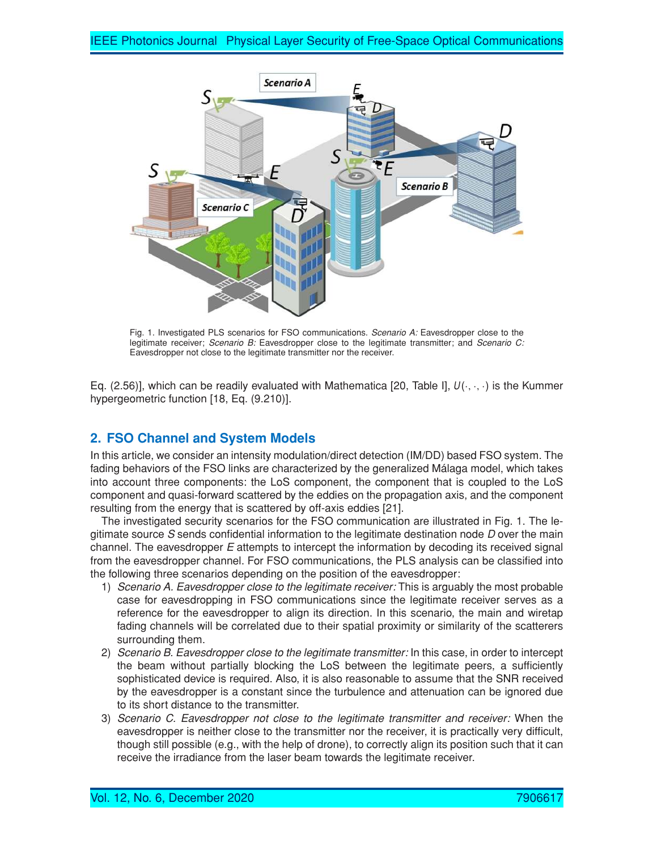

Fig. 1. Investigated PLS scenarios for FSO communications. *Scenario A:* Eavesdropper close to the legitimate receiver; *Scenario B:* Eavesdropper close to the legitimate transmitter; and *Scenario C:* Eavesdropper not close to the legitimate transmitter nor the receiver.

Eq. (2.56)], which can be readily evaluated with Mathematica [20, Table I],  $U(\cdot, \cdot, \cdot)$  is the Kummer hypergeometric function [18, Eq. (9.210)].

# **2. FSO Channel and System Models**

In this article, we consider an intensity modulation/direct detection (IM/DD) based FSO system. The fading behaviors of the FSO links are characterized by the generalized Málaga model, which takes into account three components: the LoS component, the component that is coupled to the LoS component and quasi-forward scattered by the eddies on the propagation axis, and the component resulting from the energy that is scattered by off-axis eddies [21].

The investigated security scenarios for the FSO communication are illustrated in Fig. 1. The legitimate source *S* sends confidential information to the legitimate destination node *D* over the main channel. The eavesdropper *E* attempts to intercept the information by decoding its received signal from the eavesdropper channel. For FSO communications, the PLS analysis can be classified into the following three scenarios depending on the position of the eavesdropper:

- 1) *Scenario A. Eavesdropper close to the legitimate receiver:* This is arguably the most probable case for eavesdropping in FSO communications since the legitimate receiver serves as a reference for the eavesdropper to align its direction. In this scenario, the main and wiretap fading channels will be correlated due to their spatial proximity or similarity of the scatterers surrounding them.
- 2) *Scenario B. Eavesdropper close to the legitimate transmitter:* In this case, in order to intercept the beam without partially blocking the LoS between the legitimate peers, a sufficiently sophisticated device is required. Also, it is also reasonable to assume that the SNR received by the eavesdropper is a constant since the turbulence and attenuation can be ignored due to its short distance to the transmitter.
- 3) Scenario C. Eavesdropper not close to the legitimate transmitter and receiver: When the eavesdropper is neither close to the transmitter nor the receiver, it is practically very difficult, though still possible (e.g., with the help of drone), to correctly align its position such that it can receive the irradiance from the laser beam towards the legitimate receiver.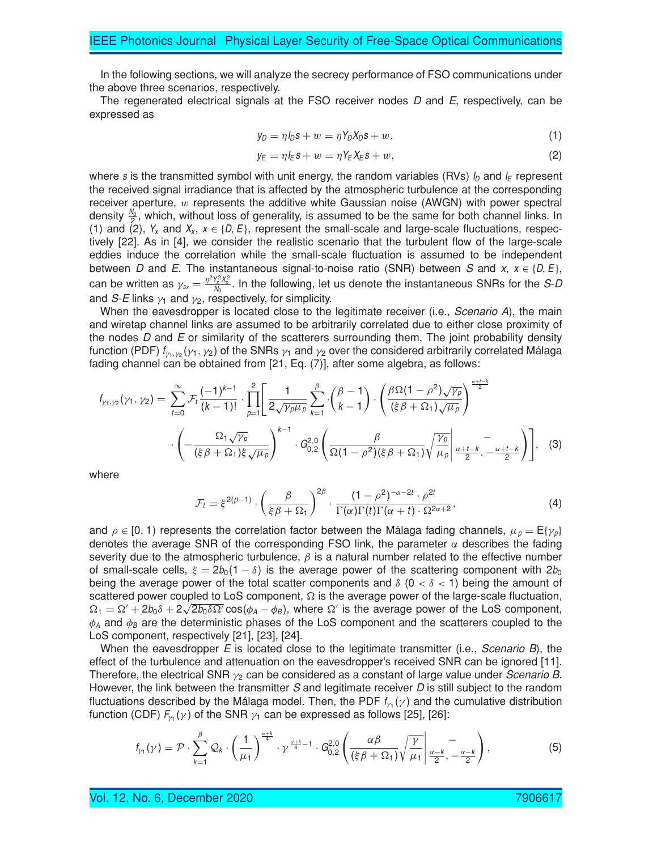In the following sections, we will analyze the secrecy performance of FSO communications under the above three scenarios, respectively.

The regenerated electrical signals at the FSO receiver nodes *D* and *E*, respectively, can be expressed as

$$
y_D = \eta I_D s + w = \eta Y_D X_D s + w,\tag{1}
$$

$$
y_E = \eta I_E s + w = \eta Y_E X_E s + w,\tag{2}
$$

where s is the transmitted symbol with unit energy, the random variables (RVs)  $I_D$  and  $I_E$  represent the received signal irradiance that is affected by the atmospheric turbulence at the corresponding receiver aperture,  $w$  represents the additive white Gaussian noise (AWGN) with power spectral density  $\frac{N_0}{2}$ , which, without loss of generality, is assumed to be the same for both channel links. In (1) and (2),  $Y_x$  and  $X_x$ ,  $x \in \{D, E\}$ , represent the small-scale and large-scale fluctuations, respectively [22]. As in [4], we consider the realistic scenario that the turbulent flow of the large-scale eddies induce the correlation while the small-scale fluctuation is assumed to be independent between *D* and *E*. The instantaneous signal-to-noise ratio (SNR) between *S* and *x*,  $x \in \{D, E\}$ , can be written as  $\gamma_{s_x} = \frac{\eta^2 Y_s^2 X_s^2}{N_0}$ . In the following, let us denote the instantaneous SNRs for the *S-D* and *S-E* links  $\gamma_1$  and  $\gamma_2$ , respectively, for simplicity.

When the eavesdropper is located close to the legitimate receiver (i.e., *Scenario A*), the main and wiretap channel links are assumed to be arbitrarily correlated due to either close proximity of the nodes *D* and *E* or similarity of the scatterers surrounding them. The joint probability density function (PDF)  $f_{\gamma_1,\gamma_2}(\gamma_1,\gamma_2)$  of the SNRs  $\gamma_1$  and  $\gamma_2$  over the considered arbitrarily correlated Málaga fading channel can be obtained from [21, Eq. (7)], after some algebra, as follows:

$$
f_{\gamma_1,\gamma_2}(\gamma_1,\gamma_2) = \sum_{t=0}^{\infty} \mathcal{F}_t \frac{(-1)^{k-1}}{(k-1)!} \cdot \prod_{p=1}^{2} \left[ \frac{1}{2\sqrt{\gamma_p \mu_p}} \sum_{k=1}^{\beta} \cdot \binom{\beta-1}{k-1} \cdot \left( \frac{\beta \Omega (1-\rho^2)\sqrt{\gamma_p}}{(\xi \beta + \Omega_1)\sqrt{\mu_p}} \right)^{\frac{\alpha+l-k}{2}} \cdot \left( -\frac{\Omega_1 \sqrt{\gamma_p}}{(\xi \beta + \Omega_1) \xi \sqrt{\mu_p}} \right)^{k-1} \cdot G_{0,2}^{2,0} \left( \frac{\beta}{\Omega (1-\rho^2)(\xi \beta + \Omega_1)} \sqrt{\frac{\gamma_p}{\mu_p}} \Big|_{\frac{\alpha+l-k}{2}, \frac{\alpha+l-k}{2}}^{-\frac{\alpha+l-k}{2}} \right) \right], \quad (3)
$$

where

$$
\mathcal{F}_t = \xi^{2(\beta - 1)} \cdot \left(\frac{\beta}{\xi \beta + \Omega_1}\right)^{2\beta} \cdot \frac{(1 - \rho^2)^{-\alpha - 2t} \cdot \rho^{2t}}{\Gamma(\alpha)\Gamma(t)\Gamma(\alpha + t) \cdot \Omega^{2\alpha + 2}},\tag{4}
$$

and  $\rho \in [0, 1)$  represents the correlation factor between the Málaga fading channels,  $\mu_{p} = E\{\gamma_{p}\}\$ denotes the average SNR of the corresponding FSO link, the parameter  $\alpha$  describes the fading severity due to the atmospheric turbulence,  $\beta$  is a natural number related to the effective number of small-scale cells,  $\xi = 2b_0(1 - \delta)$  is the average power of the scattering component with  $2b_0$ being the average power of the total scatter components and  $\delta$  (0  $<\delta$  < 1) being the amount of scattered power coupled to LoS component,  $\Omega$  is the average power of the large-scale fluctuation,  $\Omega_1 = \Omega' + 2b_0\delta + 2\sqrt{2b_0\delta\Omega'}\cos(\phi_A - \phi_B)$ , where  $\Omega'$  is the average power of the LoS component,  $\phi_A$  and  $\phi_B$  are the deterministic phases of the LoS component and the scatterers coupled to the LoS component, respectively [21], [23], [24].

When the eavesdropper *E* is located close to the legitimate transmitter (i.e., *Scenario B*), the effect of the turbulence and attenuation on the eavesdropper's received SNR can be ignored [11]. Therefore, the electrical SNR γ<sup>2</sup> can be considered as a constant of large value under *Scenario <sup>B</sup>*. However, the link between the transmitter *S* and legitimate receiver *D* is still subject to the random fluctuations described by the Málaga model. Then, the PDF  $f_{\gamma_1}(\gamma)$  and the cumulative distribution function (CDF)  $F_{\!\scriptscriptstyle{\gamma_1}}(\gamma)$  of the SNR  $\gamma_1$  can be expressed as follows [25], [26]:

$$
f_{\gamma_1}(\gamma) = \mathcal{P} \cdot \sum_{k=1}^{\beta} \mathcal{Q}_k \cdot \left(\frac{1}{\mu_1}\right)^{\frac{\alpha+k}{4}} \cdot \gamma^{\frac{\alpha+k}{4}-1} \cdot \mathcal{G}_{0,2}^{2,0}\left(\frac{\alpha\beta}{(\xi\beta+\Omega_1)}\sqrt{\frac{\gamma}{\mu_1}}\bigg| \frac{-}{\frac{\alpha-k}{2},-\frac{\alpha-k}{2}}\right),\tag{5}
$$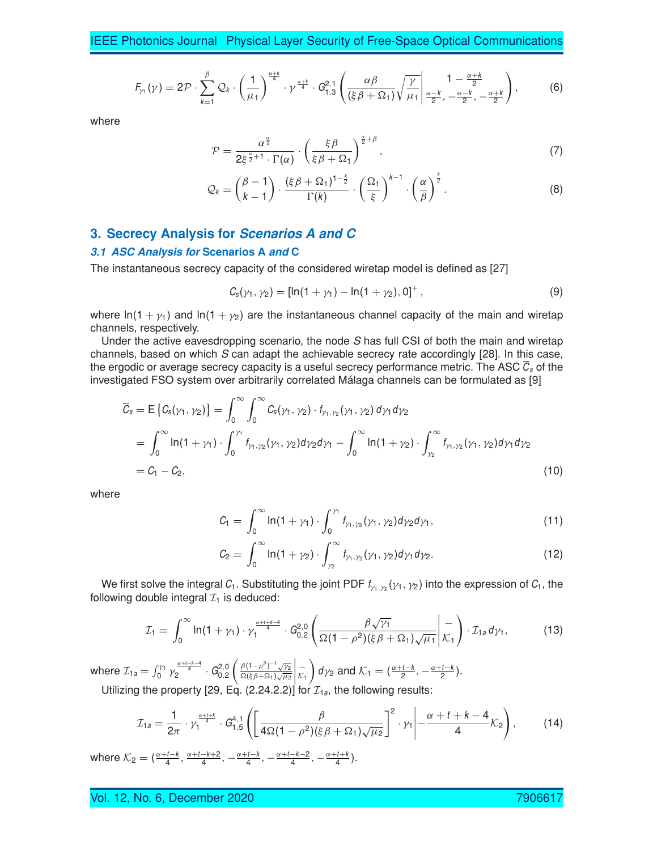IEEE Photonics Journal Physical Layer Security of Free-Space Optical Communications

$$
F_{\gamma_1}(\gamma) = 2\mathcal{P} \cdot \sum_{k=1}^{\beta} \mathcal{Q}_k \cdot \left(\frac{1}{\mu_1}\right)^{\frac{\alpha+k}{4}} \cdot \gamma^{\frac{\alpha+k}{4}} \cdot G_{1,3}^{2,1}\left(\frac{\alpha\beta}{(\xi\beta+\Omega_1)}\sqrt{\frac{\gamma}{\mu_1}}\middle|\frac{1-\frac{\alpha+k}{2}}{\frac{\alpha-k}{2},-\frac{\alpha-k}{2},-\frac{\alpha+k}{2}}\right),\tag{6}
$$

where

$$
\mathcal{P} = \frac{\alpha^{\frac{\alpha}{2}}}{2\xi^{\frac{\alpha}{2}+1} \cdot \Gamma(\alpha)} \cdot \left(\frac{\xi \beta}{\xi \beta + \Omega_1}\right)^{\frac{\alpha}{2}+\beta},\tag{7}
$$

$$
\mathcal{Q}_k = \binom{\beta - 1}{k - 1} \cdot \frac{(\xi \beta + \Omega_1)^{1 - \frac{k}{2}}}{\Gamma(k)} \cdot \left(\frac{\Omega_1}{\xi}\right)^{k - 1} \cdot \left(\frac{\alpha}{\beta}\right)^{\frac{k}{2}}.
$$
 (8)

# **3. Secrecy Analysis for Scenarios A and C**

#### **3.1 ASC Analysis for Scenarios A and C**

The instantaneous secrecy capacity of the considered wiretap model is defined as [27]

$$
C_{s}(\gamma_{1},\gamma_{2})=[\ln(1+\gamma_{1})-\ln(1+\gamma_{2}),0]^{+}, \qquad (9)
$$

where ln(1 +  $\gamma_1$ ) and ln(1 +  $\gamma_2$ ) are the instantaneous channel capacity of the main and wiretap channels, respectively.

Under the active eavesdropping scenario, the node *S* has full CSI of both the main and wiretap channels, based on which *S* can adapt the achievable secrecy rate accordingly [28]. In this case, the ergodic or average secrecy capacity is a useful secrecy performance metric. The ASC  $C_s$  of the investigated FSO system over arbitrarily correlated Málaga channels can be formulated as [9]

$$
\overline{C}_{s} = \mathbb{E}\left\{C_{s}(\gamma_{1}, \gamma_{2})\right\} = \int_{0}^{\infty} \int_{0}^{\infty} C_{s}(\gamma_{1}, \gamma_{2}) \cdot f_{\gamma_{1}, \gamma_{2}}(\gamma_{1}, \gamma_{2}) d\gamma_{1} d\gamma_{2}
$$
\n
$$
= \int_{0}^{\infty} \ln(1 + \gamma_{1}) \cdot \int_{0}^{\gamma_{1}} f_{\gamma_{1}, \gamma_{2}}(\gamma_{1}, \gamma_{2}) d\gamma_{2} d\gamma_{1} - \int_{0}^{\infty} \ln(1 + \gamma_{2}) \cdot \int_{\gamma_{2}}^{\infty} f_{\gamma_{1}, \gamma_{2}}(\gamma_{1}, \gamma_{2}) d\gamma_{1} d\gamma_{2}
$$
\n
$$
= C_{1} - C_{2},
$$
\n(10)

where

$$
C_1 = \int_0^\infty \ln(1 + \gamma_1) \cdot \int_0^{\gamma_1} f_{\gamma_1, \gamma_2}(\gamma_1, \gamma_2) d\gamma_2 d\gamma_1, \tag{11}
$$

$$
C_2 = \int_0^\infty \ln(1 + \gamma_2) \cdot \int_{\gamma_2}^\infty f_{\gamma_1, \gamma_2}(\gamma_1, \gamma_2) d\gamma_1 d\gamma_2. \tag{12}
$$

We first solve the integral  $C_1$ . Substituting the joint PDF  $f_{\gamma_1,\gamma_2}(\gamma_1,\gamma_2)$  into the expression of  $C_1$ , the following double integral  $\mathcal{I}_1$  is deduced:

$$
\mathcal{I}_1 = \int_0^\infty \ln(1+\gamma_1) \cdot \gamma_1^{\frac{\alpha+1+k-4}{4}} \cdot G_{0,2}^{2,0}\left(\frac{\beta\sqrt{\gamma_1}}{\Omega(1-\rho^2)(\xi\beta+\Omega_1)\sqrt{\mu_1}}\bigg|\frac{-}{\mathcal{K}_1}\right) \cdot \mathcal{I}_{1a} d\gamma_1, \tag{13}
$$

where  $\mathcal{I}_{1a} = \int_0^{\gamma_1} \gamma_2^{\frac{\alpha + t + k - 4}{4}} \cdot G_{0,2}^{2,0}$  $\int \frac{\beta(1-\rho^2)^{-1}\sqrt{\gamma_2}}{\gamma_2}$  $\sqrt{\frac{\kappa}{\beta+\Omega_1}}\sqrt{\mu_2}$  $\begin{array}{c} \n\hline\n-\n\kappa_1\n\end{array}$  $\int d\gamma_2$  and  $\mathcal{K}_1 = \left(\frac{\alpha+t-k}{2}, -\frac{\alpha+t-k}{2}\right)$ .

Utilizing the property [29, Eq. (2.24.2.2)] for  $\mathcal{I}_{1a}$ , the following results:

$$
\mathcal{I}_{1a} = \frac{1}{2\pi} \cdot \gamma_1^{\frac{\alpha+t+k}{4}} \cdot G_{1,5}^{4,1} \left( \left[ \frac{\beta}{4\Omega(1-\rho^2)(\xi\beta+\Omega_1)\sqrt{\mu_2}} \right]^2 \cdot \gamma_1 \middle| - \frac{\alpha+t+k-4}{4} \mathcal{K}_2 \right), \tag{14}
$$

where  $\mathcal{K}_2 = (\frac{\alpha + t - k}{4}, \frac{\alpha + t - k + 2}{4}, -\frac{\alpha + t - k}{4}, -\frac{\alpha + t - k - 2}{4}, -\frac{\alpha + t + k}{4}).$ 

vol. 12, No. 6, December 2020 790661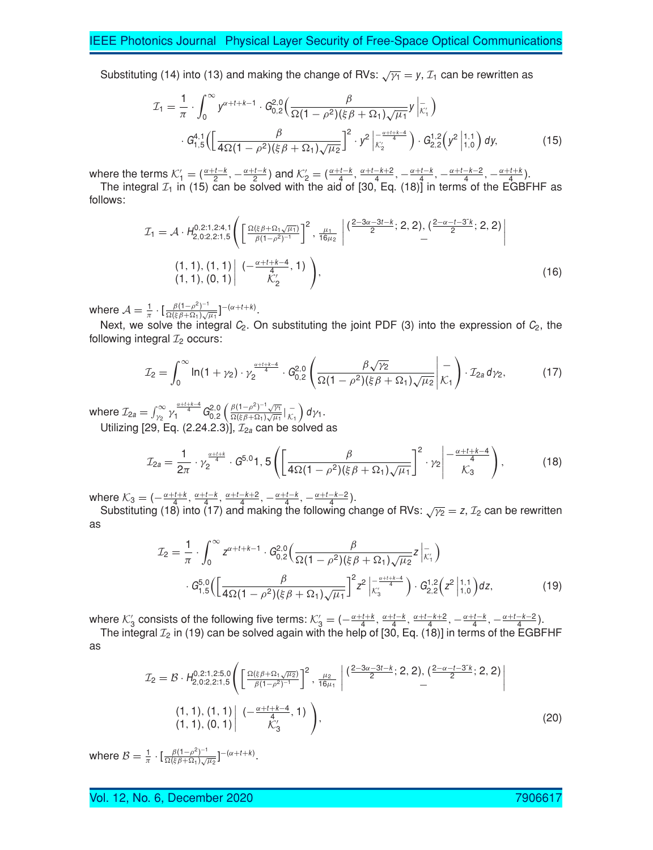Substituting (14) into (13) and making the change of RVs:  $\sqrt{\gamma_1} = y$ ,  $\mathcal{I}_1$  can be rewritten as

$$
\mathcal{I}_{1} = \frac{1}{\pi} \cdot \int_{0}^{\infty} y^{\alpha+t+k-1} \cdot G_{0,2}^{2,0} \Big( \frac{\beta}{\Omega(1-\rho^{2})(\xi\beta+\Omega_{1})\sqrt{\mu_{1}}} y \Big|_{\mathcal{K}_{1}}^{-} \Big) \cdot G_{1,5}^{4,1} \Big( \Big[ \frac{\beta}{4\Omega(1-\rho^{2})(\xi\beta+\Omega_{1})\sqrt{\mu_{2}}} \Big]^{2} \cdot y^{2} \Big|_{\mathcal{K}_{2}}^{\frac{\alpha+t+k-4}{4}} \Big) \cdot G_{2,2}^{1,2} \Big( y^{2} \Big|_{1,0}^{1,1} \Big) dy, \tag{15}
$$

where the terms  $\mathcal{K}'_1 = \left(\frac{\alpha+t-k}{2}, -\frac{\alpha+t-k}{2}\right)$  and  $\mathcal{K}'_2 = \left(\frac{\alpha+t-k}{4}, \frac{\alpha+t-k+2}{2}, -\frac{\alpha+t-k}{4}, -\frac{\alpha+t-k-2}{4}, -\frac{\alpha+t+k}{4}\right)$ .

The integral  $\mathcal{I}_1$  in (15) can be solved with the aid of [30, Eq. (18)] in terms of the EGBFHF as follows:

$$
\mathcal{I}_{1} = \mathcal{A} \cdot H_{2,0:2,2:1,5}^{0,2:1,2:4,1} \Bigg( \left[ \frac{\Omega(\xi \beta + \Omega_{1\sqrt{\mu_{1}}})}{\beta(1-\rho^{2})^{-1}} \right]^{2}, \frac{\mu_{1}}{16\mu_{2}} \left| \frac{(2-3\alpha-3t-k)}{2}; 2,2 \right), \left( \frac{2-\alpha-t-3t}{2}; 2,2 \right) \right|
$$
\n
$$
(1,1), (1,1) \left| \frac{(-\frac{\alpha+t+k-4}{4},1)}{K'_{2}} \right), \tag{16}
$$

where  $\mathcal{A}=\frac{1}{\pi}\cdot[\frac{\beta(1-\rho^{2})^{-1}}{\Omega(\xi\beta+\Omega_{1})\sqrt{\rho}}]$  $\frac{\beta(1-\rho^2)^{-1}}{\Omega(\xi\beta+\Omega_1)\sqrt{\mu_1}}\Big]^{-(\alpha+t+k)}.$ 

Next, we solve the integral  $C_2$ . On substituting the joint PDF (3) into the expression of  $C_2$ , the following integral  $\mathcal{I}_2$  occurs:

$$
\mathcal{I}_2 = \int_0^\infty \ln(1+\gamma_2) \cdot \gamma_2^{\frac{\alpha+1+k-4}{4}} \cdot G_{0,2}^{2,0} \left( \frac{\beta \sqrt{\gamma_2}}{\Omega(1-\rho^2)(\xi \beta + \Omega_1)\sqrt{\mu_2}} \bigg| \frac{-}{\mathcal{K}_1} \right) \cdot \mathcal{I}_{2a} d\gamma_2, \tag{17}
$$

where  $\mathcal{I}_{2a}=\int_{\gamma_2}^{\infty}\gamma_1^{\frac{\alpha+l+k-4}{4}}\mathsf{G}_{0,2}^{2,0}\left(\frac{\beta(1-\rho^2)^{-1}\sqrt{\gamma_1}}{\Omega(\xi\beta+\Omega_1)\sqrt{\mu_1}}\right)$  $\frac{\beta(1-\rho^2)^{-1}\sqrt{\gamma_1}}{\Omega(\xi\beta+\Omega_1)\sqrt{\mu_1}}\big|\frac{-}{\mathcal{K}_1}\bigg)\,d\gamma_1.$ Utilizing [29, Eq. (2.24.2.3)],  $\mathcal{I}_{2a}$  can be solved as

$$
\mathcal{I}_{2a} = \frac{1}{2\pi} \cdot \gamma_2^{\frac{\alpha + t + k}{4}} \cdot G^{5,0} 1, 5 \left( \left[ \frac{\beta}{4\Omega(1 - \rho^2)(\xi \beta + \Omega_1)\sqrt{\mu_1}} \right]^2 \cdot \gamma_2 \middle| \frac{-\frac{\alpha + t + k - 4}{4}}{\mathcal{K}_3} \right), \tag{18}
$$

where  $\mathcal{K}_3 = \left(-\frac{\alpha+t+k}{4}, \frac{\alpha+t-k}{4}, \frac{\alpha+t-k+2}{4}, -\frac{\alpha+t-k}{4}, \frac{-\alpha+t-k-2}{4}\right)$ .

Substituting (18) into (17) and making the following change of RVs:  $\sqrt{\gamma_2} = z$ ,  $\mathcal{I}_2$  can be rewritten as

$$
\mathcal{I}_2 = \frac{1}{\pi} \cdot \int_0^\infty z^{\alpha + t + k - 1} \cdot G_{0,2}^{2,0} \left( \frac{\beta}{\Omega(1 - \rho^2)(\xi \beta + \Omega_1)\sqrt{\mu_2}} z \Big|_{\mathcal{K}_1}^{-} \right) \cdot G_{1,5}^{5,0} \left( \left[ \frac{\beta}{4\Omega(1 - \rho^2)(\xi \beta + \Omega_1)\sqrt{\mu_1}} \right]^2 z^2 \Big|_{\mathcal{K}_3}^{-} \right) \cdot G_{2,2}^{1,2} \left( z^2 \Big|_{1,0}^{1,1} \right) dz,
$$
\n(19)

where K'<sub>3</sub> consists of the following five terms:  $K'_{3} = \left(-\frac{\alpha+t+k}{4}, \frac{\alpha+t-k}{4}, \frac{\alpha+t-k+2}{4}, -\frac{\alpha+t-k}{4}, -\frac{\alpha+t-k-2}{4}\right)$ .

The integral  $\mathcal{I}_2$  in (19) can be solved again with the help of [30, Eq. (18)] in terms of the EGBFHF as

$$
\mathcal{I}_2 = \mathcal{B} \cdot H_{2,0:2,2:1,5}^{0,2:1,2:5,0} \Bigg( \left[ \frac{\Omega(\xi \beta + \Omega_1 \sqrt{\mu_2})}{\beta(1-\rho^2)^{-1}} \right]^2, \frac{\mu_2}{16\mu_1} \left| \frac{(2-3\alpha - 3t - k)}{2}; 2, 2 \right), \left( \frac{2-\alpha - t - 3t}{2}; 2, 2 \right) \right|
$$
\n
$$
(1, 1), (1, 1) \left| \frac{(-\frac{\alpha + t + k - 4}{4}, 1)}{\mathcal{K}_3}, 1 \right), \tag{20}
$$

where  $\mathcal{B}=\frac{1}{\pi}\cdot[\frac{\beta(1-\rho^{2})^{-1}}{\Omega(\xi\beta+\Omega_{1})\sqrt{\rho}}]$  $\frac{\beta(1-\rho^2)^{-1}}{\Omega(\xi\beta+\Omega_1)\sqrt{\mu_2}}$ ]  $-(\alpha+t+k)$ .

Vol. 12, No. 6, December 2020 7906617 12, 200661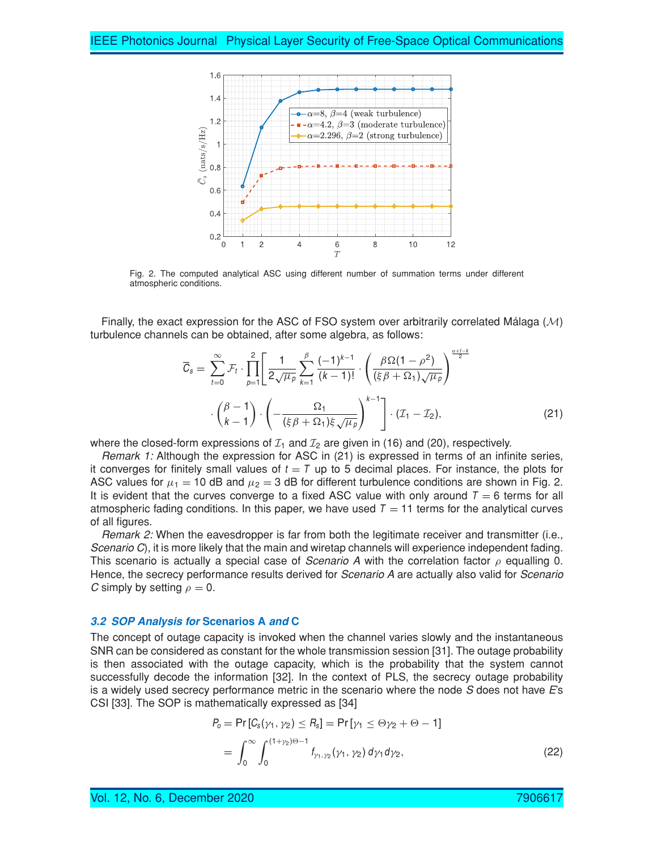

Fig. 2. The computed analytical ASC using different number of summation terms under different atmospheric conditions.

Finally, the exact expression for the ASC of FSO system over arbitrarily correlated Málaga  $(M)$ turbulence channels can be obtained, after some algebra, as follows:

$$
\overline{C}_{s} = \sum_{t=0}^{\infty} \mathcal{F}_{t} \cdot \prod_{p=1}^{2} \left[ \frac{1}{2\sqrt{\mu_{p}}} \sum_{k=1}^{\beta} \frac{(-1)^{k-1}}{(k-1)!} \cdot \left( \frac{\beta \Omega(1-\rho^{2})}{(\xi \beta + \Omega_{1})\sqrt{\mu_{p}}} \right)^{\frac{\alpha+t-k}{2}} \right] \cdot \left( \frac{\beta-1}{k-1} \right) \cdot \left( -\frac{\Omega_{1}}{(\xi \beta + \Omega_{1})\xi\sqrt{\mu_{p}}} \right)^{k-1} \left[ \cdot (\mathcal{I}_{1} - \mathcal{I}_{2}), \tag{21}
$$

where the closed-form expressions of  $I_1$  and  $I_2$  are given in (16) and (20), respectively.

*Remark 1:* Although the expression for ASC in (21) is expressed in terms of an infinite series, it converges for finitely small values of  $t = T$  up to 5 decimal places. For instance, the plots for ASC values for  $\mu_1 = 10$  dB and  $\mu_2 = 3$  dB for different turbulence conditions are shown in Fig. 2. It is evident that the curves converge to a fixed ASC value with only around  $T = 6$  terms for all atmospheric fading conditions. In this paper, we have used  $T = 11$  terms for the analytical curves of all figures.

*Remark 2:* When the eavesdropper is far from both the legitimate receiver and transmitter (i.e., *Scenario C*), it is more likely that the main and wiretap channels will experience independent fading. This scenario is actually a special case of *Scenario*  $\Lambda$  with the correlation factor  $\rho$  equalling 0. Hence, the secrecy performance results derived for *Scenario A* are actually also valid for *Scenario C* simply by setting  $\rho = 0$ .

#### **3.2 SOP Analysis for Scenarios A and C**

The concept of outage capacity is invoked when the channel varies slowly and the instantaneous SNR can be considered as constant for the whole transmission session [31]. The outage probability is then associated with the outage capacity, which is the probability that the system cannot successfully decode the information [32]. In the context of PLS, the secrecy outage probability is a widely used secrecy performance metric in the scenario where the node *S* does not have *E*'s CSI [33]. The SOP is mathematically expressed as [34]

$$
P_o = \Pr[C_s(\gamma_1, \gamma_2) \le R_s] = \Pr[\gamma_1 \le \Theta \gamma_2 + \Theta - 1]
$$
  
= 
$$
\int_0^\infty \int_0^{(1+\gamma_2)\Theta - 1} f_{\gamma_1, \gamma_2}(\gamma_1, \gamma_2) d\gamma_1 d\gamma_2,
$$
 (22)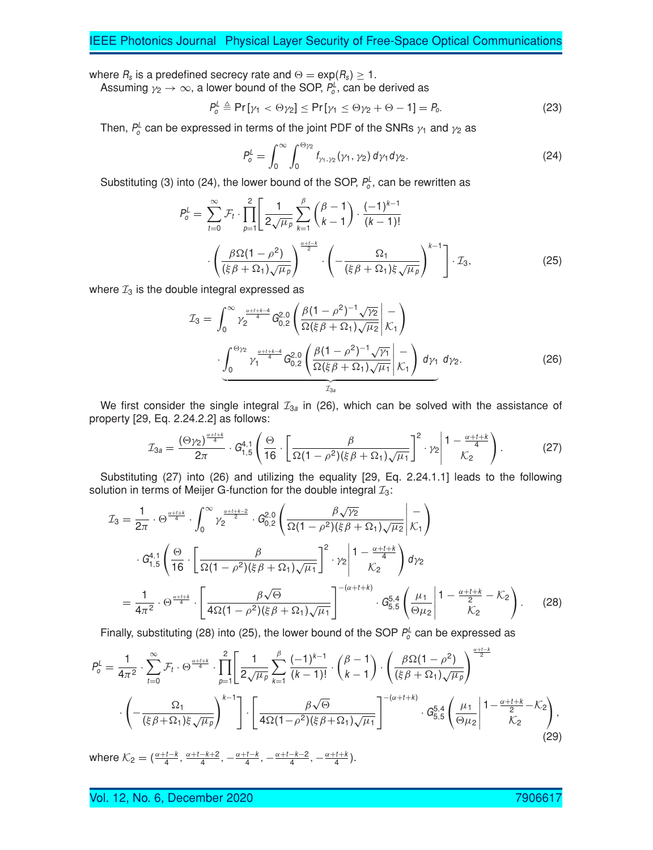where  $R_s$  is a predefined secrecy rate and  $\Theta = \exp(R_s) \geq 1$ .

Assuming  $\gamma_2 \to \infty$ , a lower bound of the SOP,  $P_o^L$ , can be derived as

$$
P_o^L \triangleq \Pr[\gamma_1 < \Theta \gamma_2] \le \Pr[\gamma_1 \le \Theta \gamma_2 + \Theta - 1] = P_o. \tag{23}
$$

Then,  $P^{\scriptscriptstyle\! L}_{\!\scriptscriptstyle\mathcal O}$  can be expressed in terms of the joint PDF of the SNRs  $\gamma_1$  and  $\gamma_2$  as

$$
P_o^L = \int_0^\infty \int_0^{\Theta_{\gamma_2}} f_{\gamma_1, \gamma_2}(\gamma_1, \gamma_2) d\gamma_1 d\gamma_2.
$$
 (24)

Substituting (3) into (24), the lower bound of the SOP,  $P_o^L$ , can be rewritten as

$$
P_o^L = \sum_{t=0}^{\infty} \mathcal{F}_t \cdot \prod_{p=1}^2 \left[ \frac{1}{2\sqrt{\mu_p}} \sum_{k=1}^{\beta} \binom{\beta-1}{k-1} \cdot \frac{(-1)^{k-1}}{(k-1)!} \cdot \left( \frac{\beta \Omega (1-\rho^2)}{(\xi \beta + \Omega_1) \sqrt{\mu_p}} \right)^{\frac{\alpha+1-k}{2}} \cdot \left( -\frac{\Omega_1}{(\xi \beta + \Omega_1) \xi \sqrt{\mu_p}} \right)^{k-1} \right] \cdot \mathcal{I}_3,
$$
\n(25)

where  $\mathcal{I}_3$  is the double integral expressed as

$$
\mathcal{I}_{3} = \int_{0}^{\infty} \gamma_{2}^{\frac{\alpha + t + k - 4}{4}} G_{0,2}^{2,0} \left( \frac{\beta (1 - \rho^{2})^{-1} \sqrt{\gamma_{2}}}{\Omega(\xi \beta + \Omega_{1}) \sqrt{\mu_{2}}} \bigg| \mathcal{K}_{1} \right) \cdot \underbrace{\int_{0}^{\Theta \gamma_{2}} \gamma_{1}^{\frac{\alpha + t + k - 4}{4}} G_{0,2}^{2,0} \left( \frac{\beta (1 - \rho^{2})^{-1} \sqrt{\gamma_{1}}}{\Omega(\xi \beta + \Omega_{1}) \sqrt{\mu_{1}}} \bigg| \mathcal{K}_{1} \right) d\gamma_{1} d\gamma_{2}}_{\mathcal{I}_{3a}}.
$$
\n(26)

We first consider the single integral  $I_{3a}$  in (26), which can be solved with the assistance of property [29, Eq. 2.24.2.2] as follows:

$$
\mathcal{I}_{3a} = \frac{(\Theta \gamma_2)^{\frac{\alpha+t+k}{4}}}{2\pi} \cdot G_{1,5}^{4,1} \left( \frac{\Theta}{16} \cdot \left[ \frac{\beta}{\Omega(1-\rho^2)(\xi \beta + \Omega_1)\sqrt{\mu_1}} \right]^2 \cdot \gamma_2 \middle| \frac{1-\frac{\alpha+t+k}{4}}{\mathcal{K}_2} \right). \tag{27}
$$

Substituting (27) into (26) and utilizing the equality [29, Eq. 2.24.1.1] leads to the following solution in terms of Meijer G-function for the double integral  $\mathcal{I}_3$ :

$$
\mathcal{I}_{3} = \frac{1}{2\pi} \cdot \Theta^{\frac{\alpha + t + k}{4}} \cdot \int_{0}^{\infty} \gamma_{2}^{\frac{\alpha + t + k - 2}{2}} \cdot G_{0,2}^{2,0} \left( \frac{\beta \sqrt{\gamma_{2}}}{\Omega(1 - \rho^{2})(\xi \beta + \Omega_{1})\sqrt{\mu_{2}}} \bigg| \frac{-1}{\mathcal{K}_{1}} \right)
$$

$$
\cdot G_{1,5}^{4,1} \left( \frac{\Theta}{16} \cdot \left[ \frac{\beta}{\Omega(1 - \rho^{2})(\xi \beta + \Omega_{1})\sqrt{\mu_{1}}} \right]^{2} \cdot \gamma_{2} \bigg| \frac{1 - \frac{\alpha + t + k}{4}}{\mathcal{K}_{2}} \right) d\gamma_{2}
$$

$$
= \frac{1}{4\pi^{2}} \cdot \Theta^{\frac{\alpha + t + k}{4}} \cdot \left[ \frac{\beta \sqrt{\Theta}}{4\Omega(1 - \rho^{2})(\xi \beta + \Omega_{1})\sqrt{\mu_{1}}} \right]^{-(\alpha + t + k)} \cdot G_{5,5}^{5,4} \left( \frac{\mu_{1}}{\Theta\mu_{2}} \bigg| \frac{1 - \frac{\alpha + t + k}{2} - \mathcal{K}_{2}}{\mathcal{K}_{2}} \right). \tag{28}
$$

Finally, substituting (28) into (25), the lower bound of the SOP  $P_o^L$  can be expressed as

$$
P_o^L = \frac{1}{4\pi^2} \cdot \sum_{t=0}^{\infty} \mathcal{F}_t \cdot \Theta^{\frac{\alpha+t+k}{4}} \cdot \prod_{p=1}^{2} \left[ \frac{1}{2\sqrt{\mu_p}} \sum_{k=1}^{\beta} \frac{(-1)^{k-1}}{(k-1)!} \cdot \binom{\beta-1}{k-1} \cdot \left( \frac{\beta \Omega (1-\rho^2)}{(\xi \beta + \Omega_1)\sqrt{\mu_p}} \right)^{\frac{\alpha+t-k}{2}} \cdot \left( -\frac{\Omega_1}{(\xi \beta + \Omega_1)\xi \sqrt{\mu_p}} \right)^{k-1} \right] \cdot \left[ \frac{\beta \sqrt{\Theta}}{4\Omega (1-\rho^2)(\xi \beta + \Omega_1)\sqrt{\mu_1}} \right]^{-(\alpha+t+k)} \cdot G_{5,5}^{5,4} \left( \frac{\mu_1}{\Theta \mu_2} \middle| 1 - \frac{\alpha+t+k}{2} - \mathcal{K}_2 \right), \tag{29}
$$

where  $\mathcal{K}_2 = (\frac{\alpha+t-k}{4}, \frac{\alpha+t-k+2}{4}, -\frac{\alpha+t-k}{4}, -\frac{\alpha+t-k-2}{4}, -\frac{\alpha+t+k}{4}).$ 

Vol. 12, No. 6, December 2020 790661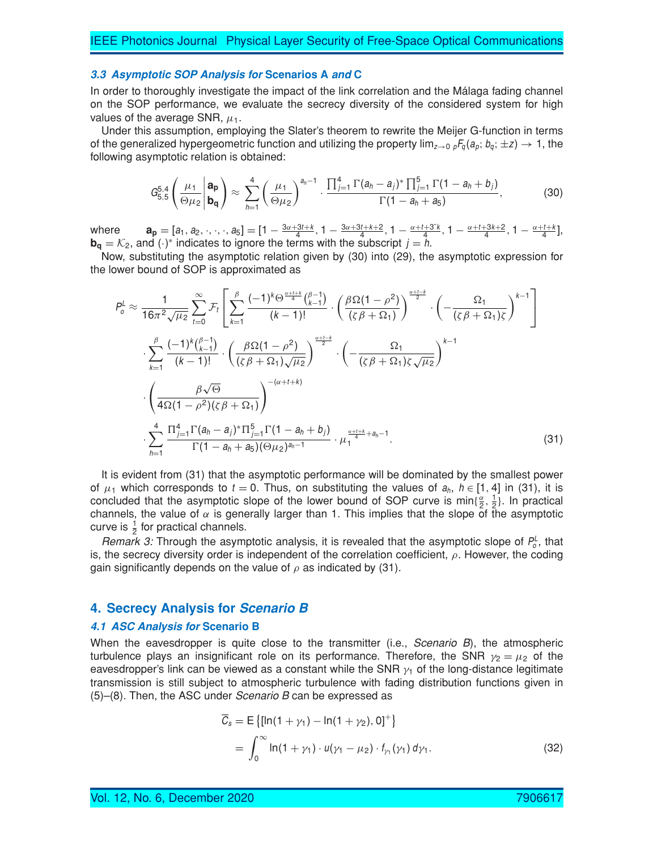#### **3.3 Asymptotic SOP Analysis for Scenarios A and C**

In order to thoroughly investigate the impact of the link correlation and the Málaga fading channel on the SOP performance, we evaluate the secrecy diversity of the considered system for high values of the average SNR,  $\mu_1$ .

Under this assumption, employing the Slater's theorem to rewrite the Meijer G-function in terms of the generalized hypergeometric function and utilizing the property  $\lim_{z\to 0} \frac{F_q(a_p; b_q; \pm z)}{+}$ , the following asymptotic relation is obtained:

$$
G_{5,5}^{5,4}\left(\frac{\mu_1}{\Theta\mu_2}\middle|\begin{array}{l}\mathbf{a_p}\\ \mathbf{b_q}\end{array}\right)\approx\sum_{h=1}^4\left(\frac{\mu_1}{\Theta\mu_2}\right)^{a_h-1}\cdot\frac{\prod_{j=1}^4\Gamma(a_h-a_j)^*\prod_{j=1}^5\Gamma(1-a_h+b_j)}{\Gamma(1-a_h+a_5)},\tag{30}
$$

where  $\mathbf{a}_{\mathbf{p}} = [a_1, a_2, \dots, a_5] = [1 - \frac{3\alpha + 3t + k}{4}, 1 - \frac{3\alpha + 3t + k + 2}{4}, 1 - \frac{\alpha + t + 3k}{4}, 1 - \frac{\alpha + t + 3k + 2}{4}, 1 - \frac{\alpha + t + k}{4}]$ **b<sub>q</sub>** =  $K_2$ , and (·)\* indicates to ignore the terms with the subscript  $j = h$ .

Now, substituting the asymptotic relation given by (30) into (29), the asymptotic expression for the lower bound of SOP is approximated as

$$
P_o^L \approx \frac{1}{16\pi^2 \sqrt{\mu_2}} \sum_{t=0}^{\infty} \mathcal{F}_t \left[ \sum_{k=1}^{\beta} \frac{(-1)^k \Theta^{\frac{\alpha + t + k}{4}} \binom{\beta - 1}{k-1}}{(k-1)!} \cdot \left( \frac{\beta \Omega (1 - \rho^2)}{(\zeta \beta + \Omega_1)} \right)^{\frac{\alpha + t - k}{2}} \cdot \left( -\frac{\Omega_1}{(\zeta \beta + \Omega_1)\zeta} \right)^{k-1} \right]
$$
  

$$
\cdot \sum_{k=1}^{\beta} \frac{(-1)^k \binom{\beta - 1}{k-1}}{(k-1)!} \cdot \left( \frac{\beta \Omega (1 - \rho^2)}{(\zeta \beta + \Omega_1)\sqrt{\mu_2}} \right)^{\frac{\alpha + t - k}{2}} \cdot \left( -\frac{\Omega_1}{(\zeta \beta + \Omega_1)\zeta \sqrt{\mu_2}} \right)^{k-1}
$$
  

$$
\cdot \left( \frac{\beta \sqrt{\Theta}}{4\Omega (1 - \rho^2)(\zeta \beta + \Omega_1)} \right)^{-(\alpha + t + k)}
$$
  

$$
\cdot \sum_{h=1}^4 \frac{\Pi_{j=1}^4 \Gamma(a_h - a_j)^* \Pi_{j=1}^5 \Gamma(1 - a_h + b_j)}{\Gamma(1 - a_h + a_5)(\Theta \mu_2)^{a_h - 1}} \cdot \mu_1^{\frac{\alpha + t + k}{4} + a_h - 1}.
$$
 (31)

It is evident from (31) that the asymptotic performance will be dominated by the smallest power of  $\mu_1$  which corresponds to  $t = 0$ . Thus, on substituting the values of  $a_h$ ,  $h \in [1, 4]$  in (31), it is concluded that the asymptotic slope of the lower bound of SOP curve is min{ $\frac{\alpha}{2}, \frac{1}{2}$ }. In practical channels, the value of  $\alpha$  is generally larger than 1. This implies that the slope of the asymptotic curve is  $\frac{1}{2}$  for practical channels.

*Remark 3:* Through the asymptotic analysis, it is revealed that the asymptotic slope of  $P^L_o$ , that is, the secrecy diversity order is independent of the correlation coefficient,  $\rho$ . However, the coding gain significantly depends on the value of  $\rho$  as indicated by (31).

# **4. Secrecy Analysis for Scenario B**

#### **4.1 ASC Analysis for Scenario B**

When the eavesdropper is quite close to the transmitter (i.e., *Scenario B*), the atmospheric turbulence plays an insignificant role on its performance. Therefore, the SNR  $\gamma_2 = \mu_2$  of the eavesdropper's link can be viewed as a constant while the SNR  $y_1$  of the long-distance legitimate transmission is still subject to atmospheric turbulence with fading distribution functions given in (5)–(8). Then, the ASC under *Scenario B* can be expressed as

$$
\overline{C}_s = E \{ [\ln(1 + \gamma_1) - \ln(1 + \gamma_2), 0]^+ \}
$$
  
= 
$$
\int_0^\infty \ln(1 + \gamma_1) \cdot u(\gamma_1 - \mu_2) \cdot f_{\gamma_1}(\gamma_1) d\gamma_1.
$$
 (32)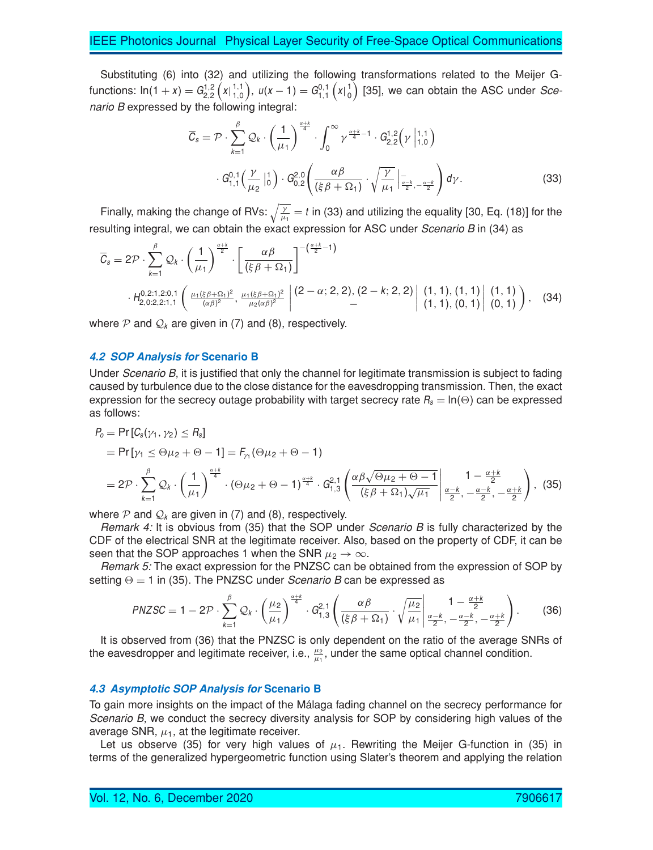Substituting (6) into (32) and utilizing the following transformations related to the Meijer Gfunctions:  $\ln(1+x) = G_{2,2}^{1,2} (x|_{1,0}^{1,1})$  $\binom{1,1}{1,0}$ ,  $u(x-1) = G_{1,1}^{0,1} (x) \binom{1}{0}$  $\binom{1}{0}$  [35], we can obtain the ASC under *Scenario B* expressed by the following integral:

$$
\overline{C}_{s} = \mathcal{P} \cdot \sum_{k=1}^{\beta} \mathcal{Q}_{k} \cdot \left(\frac{1}{\mu_{1}}\right)^{\frac{\alpha+k}{4}} \cdot \int_{0}^{\infty} \gamma^{\frac{\alpha+k}{4}-1} \cdot G_{2,2}^{1,2}(\gamma \mid_{1,0}^{1,1})
$$

$$
\cdot G_{1,1}^{0,1}\left(\frac{\gamma}{\mu_{2}}\mid_{0}^{1}\right) \cdot G_{0,2}^{2,0}\left(\frac{\alpha\beta}{(\xi\beta+\Omega_{1})} \cdot \sqrt{\frac{\gamma}{\mu_{1}}}\mid_{\frac{\alpha-k}{2},-\frac{\alpha-k}{2}}^{-1}\right) d\gamma. \tag{33}
$$

Finally, making the change of RVs:  $\sqrt{\frac{\gamma}{\mu_1}}=t$  in (33) and utilizing the equality [30, Eq. (18)] for the resulting integral, we can obtain the exact expression for ASC under *Scenario B* in (34) as

$$
\overline{C}_{s} = 2\mathcal{P} \cdot \sum_{k=1}^{\beta} \mathcal{Q}_{k} \cdot \left(\frac{1}{\mu_{1}}\right)^{\frac{\alpha+k}{2}} \cdot \left[\frac{\alpha\beta}{(\xi\beta+\Omega_{1})}\right]^{-(\frac{\alpha+k}{2}-1)} \cdot \left[\frac{(\xi\beta+\Omega_{1})}{(\xi\beta+\Omega_{1})}\right]^{-(\frac{\alpha+k}{2}-1)} \cdot H_{2,0:2,2:1,1}^{0,2:1,2:0,1} \left(\frac{\mu_{1}(\xi\beta+\Omega_{1})^{2}}{(\alpha\beta)^{2}}, \frac{\mu_{1}(\xi\beta+\Omega_{1})^{2}}{\mu_{2}(\alpha\beta)^{2}}\right) \cdot \left(2-\alpha; 2,2\right), (2-k; 2,2) \left[\begin{array}{cc} (1,1), (1,1) \\ (1,1), (0,1) \end{array}\right] \cdot \left(1,1\right) \cdot \left(1,1\right) \cdot \left(34\right)
$$

where  $P$  and  $Q_k$  are given in (7) and (8), respectively.

#### **4.2 SOP Analysis for Scenario B**

Under *Scenario B*, it is justified that only the channel for legitimate transmission is subject to fading caused by turbulence due to the close distance for the eavesdropping transmission. Then, the exact expression for the secrecy outage probability with target secrecy rate  $R_s = \ln(\Theta)$  can be expressed as follows:

$$
P_0 = \Pr\left[C_s(\gamma_1, \gamma_2) \le R_s\right]
$$
  
=  $\Pr\left[\gamma_1 \le \Theta \mu_2 + \Theta - 1\right] = F_{\gamma_1}(\Theta \mu_2 + \Theta - 1)$   
=  $2\mathcal{P} \cdot \sum_{k=1}^{\beta} \mathcal{Q}_k \cdot \left(\frac{1}{\mu_1}\right)^{\frac{\alpha+k}{4}} \cdot (\Theta \mu_2 + \Theta - 1)^{\frac{\alpha+k}{4}} \cdot G_{1,3}^{2,1} \left(\frac{\alpha \beta \sqrt{\Theta \mu_2 + \Theta - 1}}{(\xi \beta + \Omega_1)\sqrt{\mu_1}}\middle|\frac{1 - \frac{\alpha+k}{2}}{\frac{\alpha-k}{2}, -\frac{\alpha-k}{2}}, -\frac{\alpha+k}{2}}\right), (35)$ 

where P and  $\mathcal{Q}_k$  are given in (7) and (8), respectively.

*Remark 4:* It is obvious from (35) that the SOP under *Scenario B* is fully characterized by the CDF of the electrical SNR at the legitimate receiver. Also, based on the property of CDF, it can be seen that the SOP approaches 1 when the SNR  $\mu_2 \rightarrow \infty$ .

*Remark 5:* The exact expression for the PNZSC can be obtained from the expression of SOP by setting  $\Theta = 1$  in (35). The PNZSC under *Scenario B* can be expressed as

$$
PNZSC = 1 - 2\mathcal{P} \cdot \sum_{k=1}^{\beta} \mathcal{Q}_k \cdot \left(\frac{\mu_2}{\mu_1}\right)^{\frac{\alpha+k}{4}} \cdot G_{1,3}^{2,1} \left(\frac{\alpha\beta}{(\xi\beta + \Omega_1)} \cdot \sqrt{\frac{\mu_2}{\mu_1}} \middle| \frac{1 - \frac{\alpha+k}{2}}{\frac{\alpha-k}{2}, -\frac{\alpha-k}{2}, -\frac{\alpha+k}{2}}\right). \tag{36}
$$

It is observed from (36) that the PNZSC is only dependent on the ratio of the average SNRs of the eavesdropper and legitimate receiver, i.e.,  $\frac{\mu_2}{\mu_1}$ , under the same optical channel condition.

#### **4.3 Asymptotic SOP Analysis for Scenario B**

To gain more insights on the impact of the Málaga fading channel on the secrecy performance for *Scenario B*, we conduct the secrecy diversity analysis for SOP by considering high values of the average SNR,  $\mu_1$ , at the legitimate receiver.

Let us observe (35) for very high values of  $\mu_1$ . Rewriting the Meijer G-function in (35) in terms of the generalized hypergeometric function using Slater's theorem and applying the relation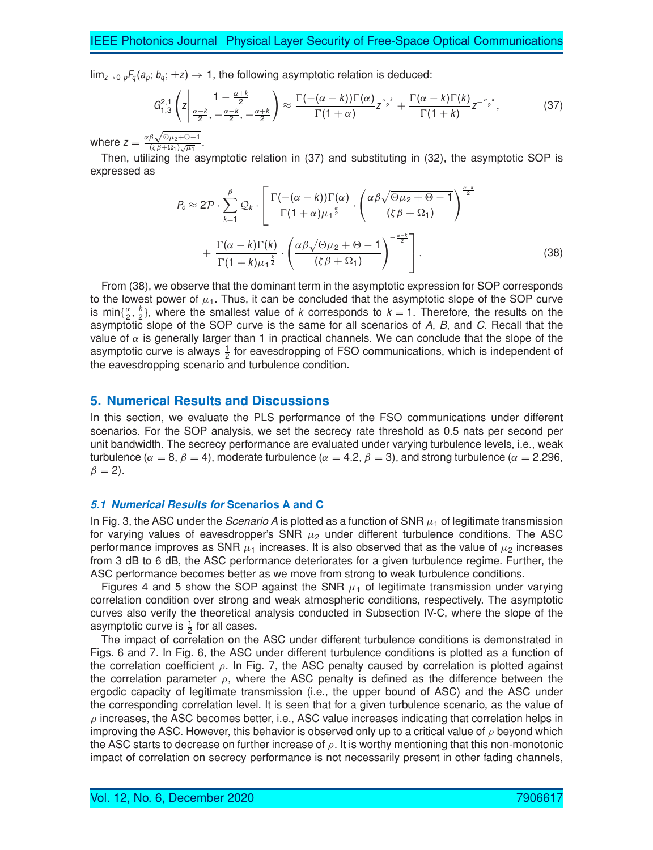$\lim_{z\to 0}$  <sub>p</sub> $F_q(a_p; b_q; \pm z) \to 1$ , the following asymptotic relation is deduced:

$$
G_{1,3}^{2,1}\left(z\left|\frac{1-\frac{\alpha+k}{2}}{\frac{\alpha-k}{2},-\frac{\alpha-k}{2},-\frac{\alpha+k}{2}}\right.\right)\approx\frac{\Gamma\left(-(\alpha-k)\right)\Gamma(\alpha)}{\Gamma(1+\alpha)}z^{\frac{\alpha-k}{2}}+\frac{\Gamma(\alpha-k)\Gamma(k)}{\Gamma(1+k)}z^{-\frac{\alpha-k}{2}},\tag{37}
$$

where  $z =$  $\alpha\beta\sqrt{\Theta\mu_2+\Theta-1}$  $\frac{(\zeta \beta + \Omega_1)}{\sqrt{\mu_1}}$ .

Then, utilizing the asymptotic relation in (37) and substituting in (32), the asymptotic SOP is expressed as

$$
P_0 \approx 2\mathcal{P} \cdot \sum_{k=1}^{\beta} \mathcal{Q}_k \cdot \left[ \frac{\Gamma\left(-(\alpha - k)\right)\Gamma(\alpha)}{\Gamma(1 + \alpha)\mu_1^{\frac{\alpha}{2}}} \cdot \left(\frac{\alpha\beta\sqrt{\Theta\mu_2 + \Theta - 1}}{\left(\zeta\beta + \Omega_1\right)}\right)^{\frac{\alpha - k}{2}} + \frac{\Gamma(\alpha - k)\Gamma(k)}{\Gamma(1 + k)\mu_1^{\frac{k}{2}}} \cdot \left(\frac{\alpha\beta\sqrt{\Theta\mu_2 + \Theta - 1}}{\left(\zeta\beta + \Omega_1\right)}\right)^{-\frac{\alpha - k}{2}} \right].
$$
\n(38)

From (38), we observe that the dominant term in the asymptotic expression for SOP corresponds to the lowest power of  $\mu_1$ . Thus, it can be concluded that the asymptotic slope of the SOP curve is min $\{\frac{\alpha}{2}, \frac{k}{2}\}\$ , where the smallest value of k corresponds to  $k = 1$ . Therefore, the results on the asymptotic slope of the SOP curve is the same for all scenarios of *A*, *B*, and *C*. Recall that the value of  $\alpha$  is generally larger than 1 in practical channels. We can conclude that the slope of the asymptotic curve is always  $\frac{1}{2}$  for eavesdropping of FSO communications, which is independent of the eavesdropping scenario and turbulence condition.

# **5. Numerical Results and Discussions**

In this section, we evaluate the PLS performance of the FSO communications under different scenarios. For the SOP analysis, we set the secrecy rate threshold as 0.5 nats per second per unit bandwidth. The secrecy performance are evaluated under varying turbulence levels, i.e., weak turbulence ( $\alpha = 8$ ,  $\beta = 4$ ), moderate turbulence ( $\alpha = 4.2$ ,  $\beta = 3$ ), and strong turbulence ( $\alpha = 2.296$ ,  $\beta = 2$ ).

#### **5.1 Numerical Results for Scenarios A and C**

In Fig. 3, the ASC under the *Scenario*  $\vec{A}$  is plotted as a function of SNR  $\mu_1$  of legitimate transmission for varying values of eavesdropper's SNR  $\mu_2$  under different turbulence conditions. The ASC performance improves as SNR  $\mu_1$  increases. It is also observed that as the value of  $\mu_2$  increases from 3 dB to 6 dB, the ASC performance deteriorates for a given turbulence regime. Further, the ASC performance becomes better as we move from strong to weak turbulence conditions.

Figures 4 and 5 show the SOP against the SNR  $\mu_1$  of legitimate transmission under varying correlation condition over strong and weak atmospheric conditions, respectively. The asymptotic curves also verify the theoretical analysis conducted in Subsection IV-C, where the slope of the asymptotic curve is  $\frac{1}{2}$  for all cases.

The impact of correlation on the ASC under different turbulence conditions is demonstrated in Figs. 6 and 7. In Fig. 6, the ASC under different turbulence conditions is plotted as a function of the correlation coefficient  $\rho$ . In Fig. 7, the ASC penalty caused by correlation is plotted against the correlation parameter  $\rho$ , where the ASC penalty is defined as the difference between the ergodic capacity of legitimate transmission (i.e., the upper bound of ASC) and the ASC under the corresponding correlation level. It is seen that for a given turbulence scenario, as the value of  $\rho$  increases, the ASC becomes better, i.e., ASC value increases indicating that correlation helps in improving the ASC. However, this behavior is observed only up to a critical value of  $\rho$  beyond which the ASC starts to decrease on further increase of  $\rho$ . It is worthy mentioning that this non-monotonic impact of correlation on secrecy performance is not necessarily present in other fading channels,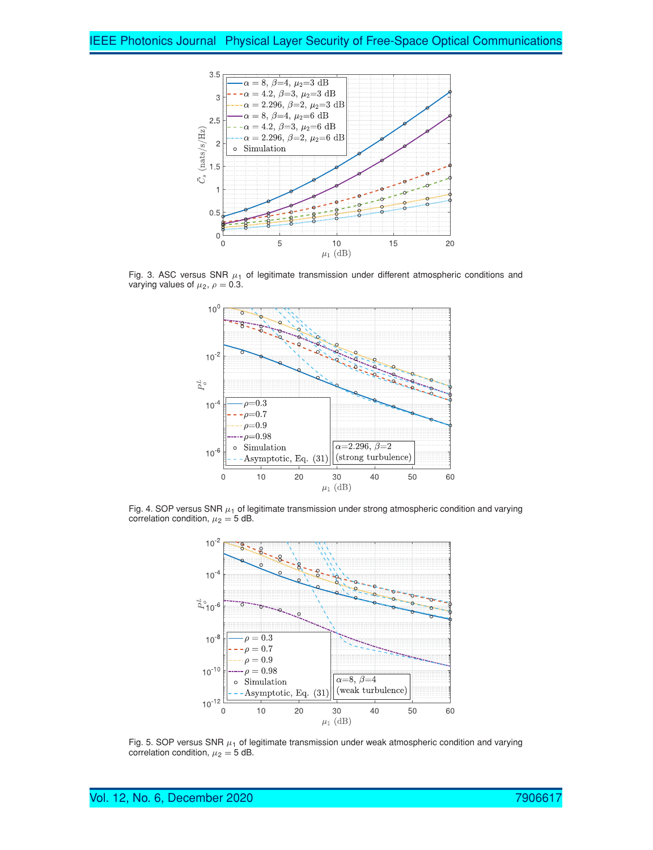

Fig. 3. ASC versus SNR  $\mu_1$  of legitimate transmission under different atmospheric conditions and varying values of  $\mu_2$ ,  $\rho = 0.3$ .



Fig. 4. SOP versus SNR  $\mu_1$  of legitimate transmission under strong atmospheric condition and varying correlation condition,  $\mu_2 = 5$  dB.



Fig. 5. SOP versus SNR  $\mu_1$  of legitimate transmission under weak atmospheric condition and varying correlation condition,  $\mu_2 = 5$  dB.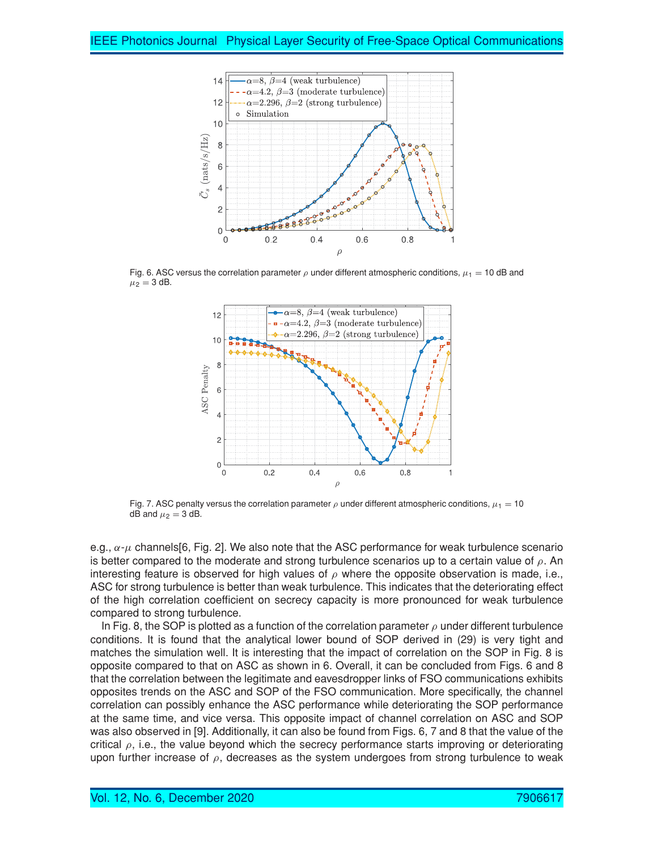

Fig. 6. ASC versus the correlation parameter  $\rho$  under different atmospheric conditions,  $\mu_1 = 10$  dB and  $\mu_2 = 3$  dB.



Fig. 7. ASC penalty versus the correlation parameter  $\rho$  under different atmospheric conditions,  $\mu_1 = 10$ dB and  $\mu_2 = 3$  dB.

e.g.,  $\alpha$ - $\mu$  channels[6, Fig. 2]. We also note that the ASC performance for weak turbulence scenario is better compared to the moderate and strong turbulence scenarios up to a certain value of  $\rho$ . An interesting feature is observed for high values of  $\rho$  where the opposite observation is made, i.e., ASC for strong turbulence is better than weak turbulence. This indicates that the deteriorating effect of the high correlation coefficient on secrecy capacity is more pronounced for weak turbulence compared to strong turbulence.

In Fig. 8, the SOP is plotted as a function of the correlation parameter  $\rho$  under different turbulence conditions. It is found that the analytical lower bound of SOP derived in (29) is very tight and matches the simulation well. It is interesting that the impact of correlation on the SOP in Fig. 8 is opposite compared to that on ASC as shown in 6. Overall, it can be concluded from Figs. 6 and 8 that the correlation between the legitimate and eavesdropper links of FSO communications exhibits opposites trends on the ASC and SOP of the FSO communication. More specifically, the channel correlation can possibly enhance the ASC performance while deteriorating the SOP performance at the same time, and vice versa. This opposite impact of channel correlation on ASC and SOP was also observed in [9]. Additionally, it can also be found from Figs. 6, 7 and 8 that the value of the critical  $\rho$ , i.e., the value beyond which the secrecy performance starts improving or deteriorating upon further increase of  $\rho$ , decreases as the system undergoes from strong turbulence to weak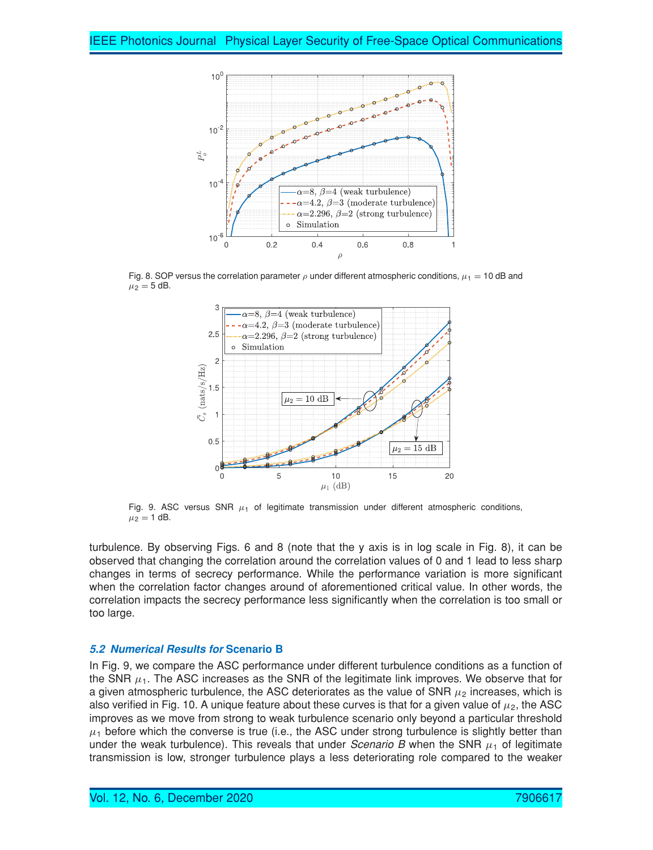

Fig. 8. SOP versus the correlation parameter  $\rho$  under different atmospheric conditions,  $\mu_1 = 10$  dB and  $\mu_2 = 5$  dB.



Fig. 9. ASC versus SNR  $\mu_1$  of legitimate transmission under different atmospheric conditions,  $\mu_2 = 1$  dB.

turbulence. By observing Figs. 6 and 8 (note that the y axis is in log scale in Fig. 8), it can be observed that changing the correlation around the correlation values of 0 and 1 lead to less sharp changes in terms of secrecy performance. While the performance variation is more significant when the correlation factor changes around of aforementioned critical value. In other words, the correlation impacts the secrecy performance less significantly when the correlation is too small or too large.

#### **5.2 Numerical Results for Scenario B**

In Fig. 9, we compare the ASC performance under different turbulence conditions as a function of the SNR  $\mu_1$ . The ASC increases as the SNR of the legitimate link improves. We observe that for a given atmospheric turbulence, the ASC deteriorates as the value of SNR  $\mu_2$  increases, which is also verified in Fig. 10. A unique feature about these curves is that for a given value of  $\mu_2$ , the ASC improves as we move from strong to weak turbulence scenario only beyond a particular threshold  $\mu_1$  before which the converse is true (i.e., the ASC under strong turbulence is slightly better than under the weak turbulence). This reveals that under *Scenario B* when the SNR  $\mu_1$  of legitimate transmission is low, stronger turbulence plays a less deteriorating role compared to the weaker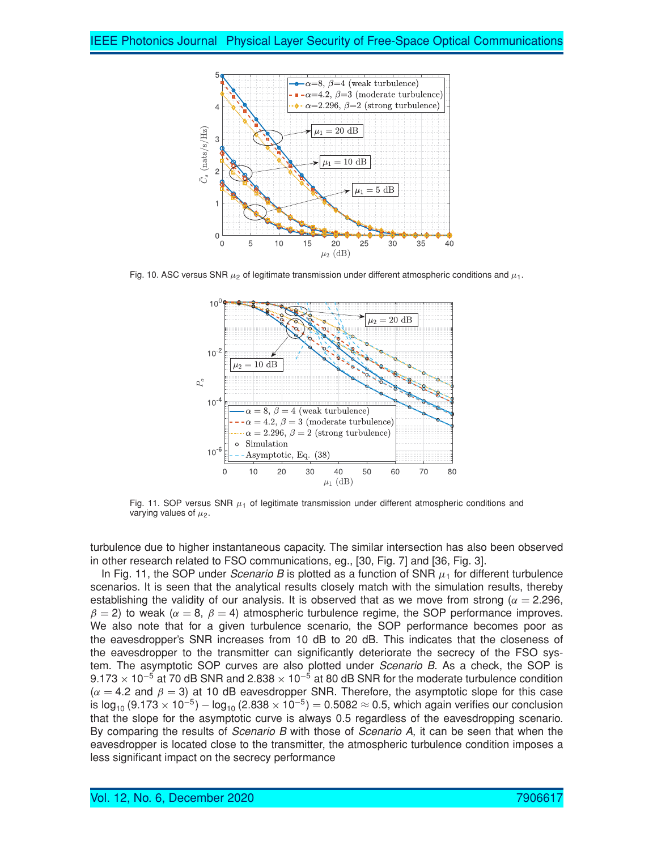

Fig. 10. ASC versus SNR  $\mu_2$  of legitimate transmission under different atmospheric conditions and  $\mu_1$ .



Fig. 11. SOP versus SNR  $\mu_1$  of legitimate transmission under different atmospheric conditions and varying values of  $\mu_2$ .

turbulence due to higher instantaneous capacity. The similar intersection has also been observed in other research related to FSO communications, eg., [30, Fig. 7] and [36, Fig. 3].

In Fig. 11, the SOP under *Scenario*  $B$  is plotted as a function of SNR  $\mu_1$  for different turbulence scenarios. It is seen that the analytical results closely match with the simulation results, thereby establishing the validity of our analysis. It is observed that as we move from strong ( $\alpha = 2.296$ ,  $\beta = 2$ ) to weak ( $\alpha = 8$ ,  $\beta = 4$ ) atmospheric turbulence regime, the SOP performance improves. We also note that for a given turbulence scenario, the SOP performance becomes poor as the eavesdropper's SNR increases from 10 dB to 20 dB. This indicates that the closeness of the eavesdropper to the transmitter can significantly deteriorate the secrecy of the FSO system. The asymptotic SOP curves are also plotted under *Scenario B*. As a check, the SOP is  $9.173 \times 10^{-5}$  at 70 dB SNR and 2.838  $\times$  10<sup>-5</sup> at 80 dB SNR for the moderate turbulence condition  $(\alpha = 4.2 \text{ and } \beta = 3)$  at 10 dB eavesdropper SNR. Therefore, the asymptotic slope for this case is  $log_{10} (9.173 \times 10^{-5}) - log_{10} (2.838 \times 10^{-5}) = 0.5082 ≈ 0.5$ , which again verifies our conclusion that the slope for the asymptotic curve is always 0.5 regardless of the eavesdropping scenario. By comparing the results of *Scenario B* with those of *Scenario A*, it can be seen that when the eavesdropper is located close to the transmitter, the atmospheric turbulence condition imposes a less significant impact on the secrecy performance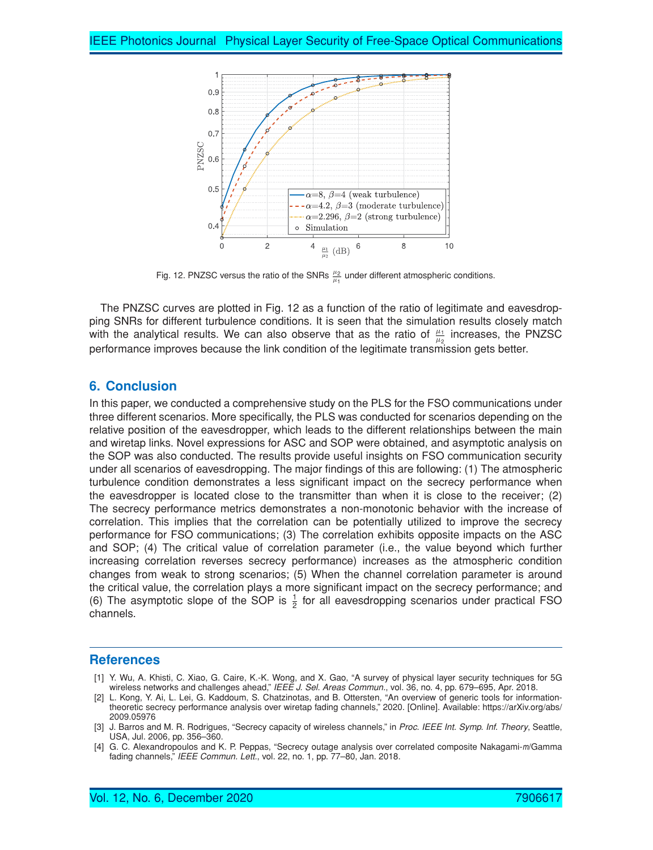

Fig. 12. PNZSC versus the ratio of the SNRs  $\frac{\mu_2}{\mu_1}$  under different atmospheric conditions.

The PNZSC curves are plotted in Fig. 12 as a function of the ratio of legitimate and eavesdropping SNRs for different turbulence conditions. It is seen that the simulation results closely match with the analytical results. We can also observe that as the ratio of  $\frac{\mu_1}{\mu_2}$  increases, the PNZSC performance improves because the link condition of the legitimate transmission gets better.

# **6. Conclusion**

In this paper, we conducted a comprehensive study on the PLS for the FSO communications under three different scenarios. More specifically, the PLS was conducted for scenarios depending on the relative position of the eavesdropper, which leads to the different relationships between the main and wiretap links. Novel expressions for ASC and SOP were obtained, and asymptotic analysis on the SOP was also conducted. The results provide useful insights on FSO communication security under all scenarios of eavesdropping. The major findings of this are following: (1) The atmospheric turbulence condition demonstrates a less significant impact on the secrecy performance when the eavesdropper is located close to the transmitter than when it is close to the receiver; (2) The secrecy performance metrics demonstrates a non-monotonic behavior with the increase of correlation. This implies that the correlation can be potentially utilized to improve the secrecy performance for FSO communications; (3) The correlation exhibits opposite impacts on the ASC and SOP; (4) The critical value of correlation parameter (i.e., the value beyond which further increasing correlation reverses secrecy performance) increases as the atmospheric condition changes from weak to strong scenarios; (5) When the channel correlation parameter is around the critical value, the correlation plays a more significant impact on the secrecy performance; and (6) The asymptotic slope of the SOP is  $\frac{1}{2}$  for all eavesdropping scenarios under practical FSO channels.

# **References**

- [1] Y. Wu, A. Khisti, C. Xiao, G. Caire, K.-K. Wong, and X. Gao, "A survey of physical layer security techniques for 5G wireless networks and challenges ahead," *IEEE J. Sel. Areas Commun.*, vol. 36, no. 4, pp. 679–695, Apr. 2018.
- [2] L. Kong, Y. Ai, L. Lei, G. Kaddoum, S. Chatzinotas, and B. Ottersten, "An overview of generic tools for informationtheoretic secrecy performance analysis over wiretap fading channels," 2020. [Online]. Available: https://arXiv.org/abs/ 2009.05976

<sup>[3]</sup> J. Barros and M. R. Rodrigues, "Secrecy capacity of wireless channels," in *Proc. IEEE Int. Symp. Inf. Theory*, Seattle, USA, Jul. 2006, pp. 356–360.

<sup>[4]</sup> G. C. Alexandropoulos and K. P. Peppas, "Secrecy outage analysis over correlated composite Nakagami-m/Gamma fading channels," *IEEE Commun. Lett.*, vol. 22, no. 1, pp. 77–80, Jan. 2018.